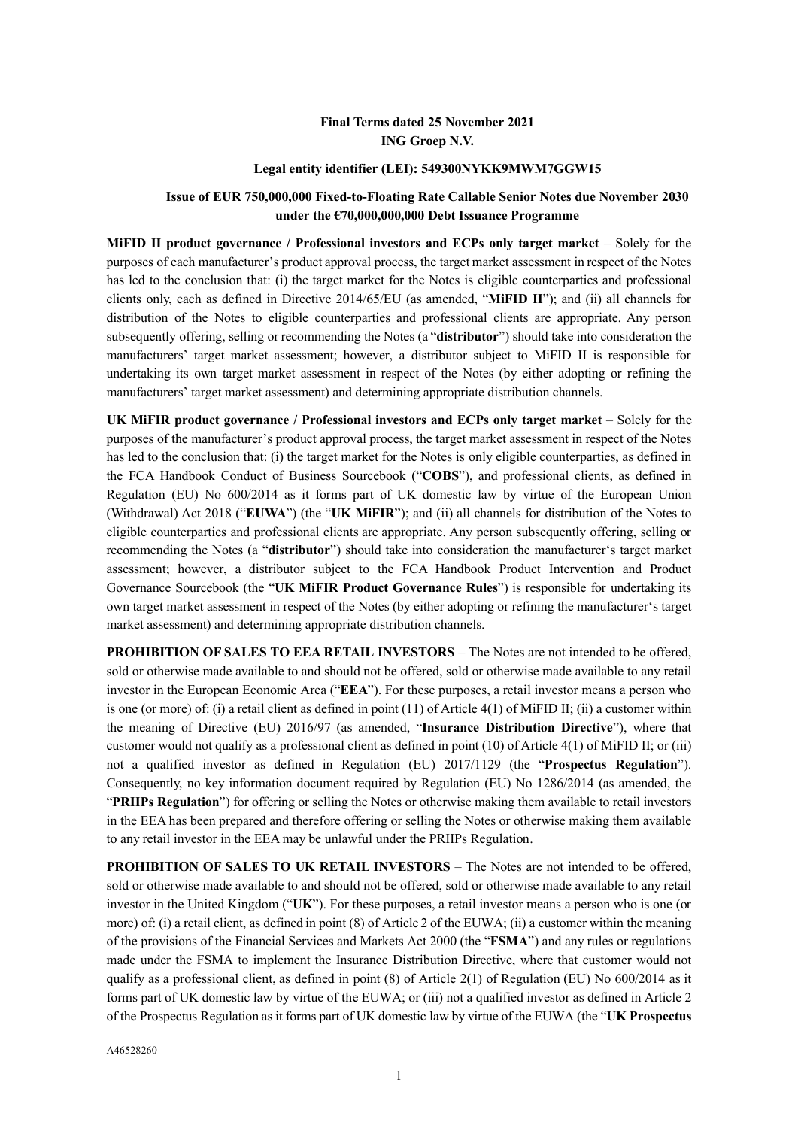# **Final Terms dated 25 November 2021 ING Groep N.V.**

### **Legal entity identifier (LEI): 549300NYKK9MWM7GGW15**

## **Issue of EUR 750,000,000 Fixed-to-Floating Rate Callable Senior Notes due November 2030 under the €70,000,000,000 Debt Issuance Programme**

**MiFID II product governance / Professional investors and ECPs only target market** – Solely for the purposes of each manufacturer's product approval process, the target market assessment in respect of the Notes has led to the conclusion that: (i) the target market for the Notes is eligible counterparties and professional clients only, each as defined in Directive 2014/65/EU (as amended, "**MiFID II**"); and (ii) all channels for distribution of the Notes to eligible counterparties and professional clients are appropriate. Any person subsequently offering, selling or recommending the Notes (a "**distributor**") should take into consideration the manufacturers' target market assessment; however, a distributor subject to MiFID II is responsible for undertaking its own target market assessment in respect of the Notes (by either adopting or refining the manufacturers' target market assessment) and determining appropriate distribution channels.

**UK MiFIR product governance / Professional investors and ECPs only target market** – Solely for the purposes of the manufacturer's product approval process, the target market assessment in respect of the Notes has led to the conclusion that: (i) the target market for the Notes is only eligible counterparties, as defined in the FCA Handbook Conduct of Business Sourcebook ("**COBS**"), and professional clients, as defined in Regulation (EU) No 600/2014 as it forms part of UK domestic law by virtue of the European Union (Withdrawal) Act 2018 ("**EUWA**") (the "**UK MiFIR**"); and (ii) all channels for distribution of the Notes to eligible counterparties and professional clients are appropriate. Any person subsequently offering, selling or recommending the Notes (a "**distributor**") should take into consideration the manufacturer's target market assessment; however, a distributor subject to the FCA Handbook Product Intervention and Product Governance Sourcebook (the "**UK MiFIR Product Governance Rules**") is responsible for undertaking its own target market assessment in respect of the Notes (by either adopting or refining the manufacturer's target market assessment) and determining appropriate distribution channels.

**PROHIBITION OF SALES TO EEA RETAIL INVESTORS** – The Notes are not intended to be offered, sold or otherwise made available to and should not be offered, sold or otherwise made available to any retail investor in the European Economic Area ("**EEA**"). For these purposes, a retail investor means a person who is one (or more) of: (i) a retail client as defined in point (11) of Article 4(1) of MiFID II; (ii) a customer within the meaning of Directive (EU) 2016/97 (as amended, "**Insurance Distribution Directive**"), where that customer would not qualify as a professional client as defined in point (10) of Article 4(1) of MiFID II; or (iii) not a qualified investor as defined in Regulation (EU) 2017/1129 (the "**Prospectus Regulation**"). Consequently, no key information document required by Regulation (EU) No 1286/2014 (as amended, the "**PRIIPs Regulation**") for offering or selling the Notes or otherwise making them available to retail investors in the EEA has been prepared and therefore offering or selling the Notes or otherwise making them available to any retail investor in the EEA may be unlawful under the PRIIPs Regulation.

**PROHIBITION OF SALES TO UK RETAIL INVESTORS** – The Notes are not intended to be offered, sold or otherwise made available to and should not be offered, sold or otherwise made available to any retail investor in the United Kingdom ("**UK**"). For these purposes, a retail investor means a person who is one (or more) of: (i) a retail client, as defined in point (8) of Article 2 of the EUWA; (ii) a customer within the meaning of the provisions of the Financial Services and Markets Act 2000 (the "**FSMA**") and any rules or regulations made under the FSMA to implement the Insurance Distribution Directive, where that customer would not qualify as a professional client, as defined in point (8) of Article 2(1) of Regulation (EU) No 600/2014 as it forms part of UK domestic law by virtue of the EUWA; or (iii) not a qualified investor as defined in Article 2 of the Prospectus Regulation as it forms part of UK domestic law by virtue of the EUWA (the "**UK Prospectus**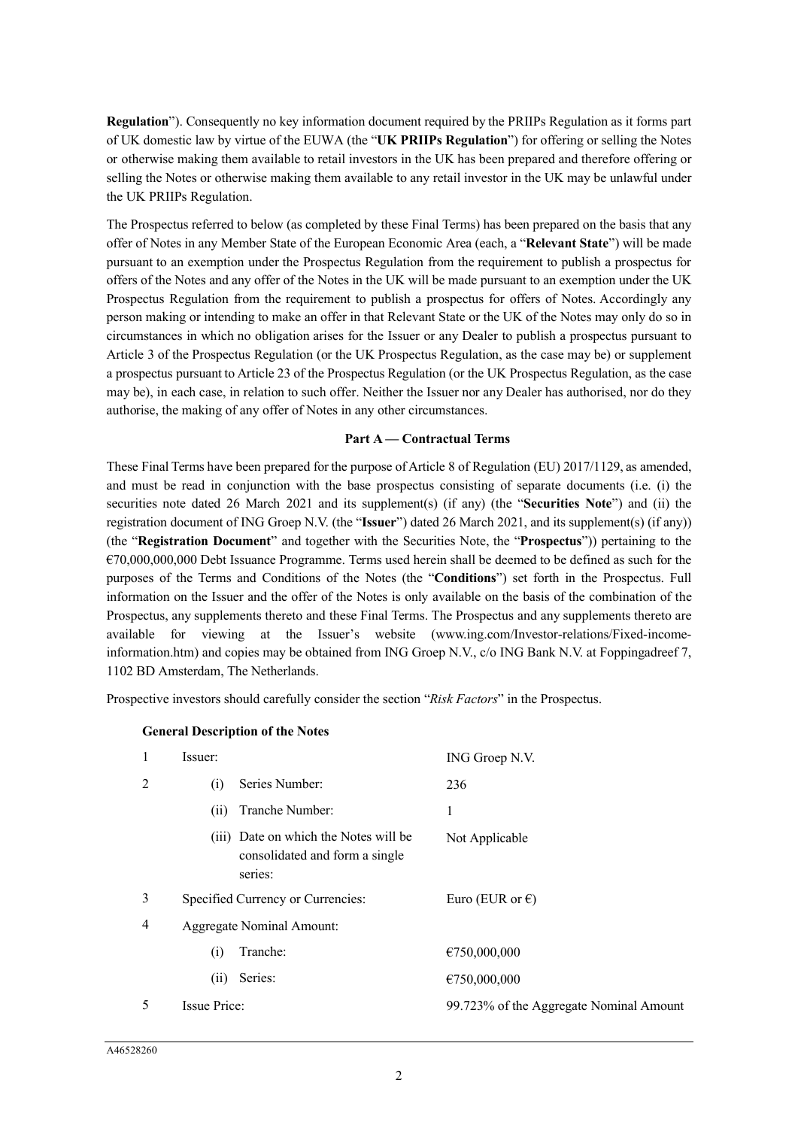**Regulation**"). Consequently no key information document required by the PRIIPs Regulation as it forms part of UK domestic law by virtue of the EUWA (the "**UK PRIIPs Regulation**") for offering or selling the Notes or otherwise making them available to retail investors in the UK has been prepared and therefore offering or selling the Notes or otherwise making them available to any retail investor in the UK may be unlawful under the UK PRIIPs Regulation.

The Prospectus referred to below (as completed by these Final Terms) has been prepared on the basis that any offer of Notes in any Member State of the European Economic Area (each, a "**Relevant State**") will be made pursuant to an exemption under the Prospectus Regulation from the requirement to publish a prospectus for offers of the Notes and any offer of the Notes in the UK will be made pursuant to an exemption under the UK Prospectus Regulation from the requirement to publish a prospectus for offers of Notes. Accordingly any person making or intending to make an offer in that Relevant State or the UK of the Notes may only do so in circumstances in which no obligation arises for the Issuer or any Dealer to publish a prospectus pursuant to Article 3 of the Prospectus Regulation (or the UK Prospectus Regulation, as the case may be) or supplement a prospectus pursuant to Article 23 of the Prospectus Regulation (or the UK Prospectus Regulation, as the case may be), in each case, in relation to such offer. Neither the Issuer nor any Dealer has authorised, nor do they authorise, the making of any offer of Notes in any other circumstances.

#### **Part A — Contractual Terms**

These Final Terms have been prepared for the purpose of Article 8 of Regulation (EU) 2017/1129, as amended, and must be read in conjunction with the base prospectus consisting of separate documents (i.e. (i) the securities note dated 26 March 2021 and its supplement(s) (if any) (the "**Securities Note**") and (ii) the registration document of ING Groep N.V. (the "**Issuer**") dated 26 March 2021, and its supplement(s) (if any)) (the "**Registration Document**" and together with the Securities Note, the "**Prospectus**")) pertaining to the  $\epsilon$ 70,000,000,000 Debt Issuance Programme. Terms used herein shall be deemed to be defined as such for the purposes of the Terms and Conditions of the Notes (the "**Conditions**") set forth in the Prospectus. Full information on the Issuer and the offer of the Notes is only available on the basis of the combination of the Prospectus, any supplements thereto and these Final Terms. The Prospectus and any supplements thereto are available for viewing at the Issuer's website (www.ing.com/Investor-relations/Fixed-incomeinformation.htm) and copies may be obtained from ING Groep N.V., c/o ING Bank N.V. at Foppingadreef 7, 1102 BD Amsterdam, The Netherlands.

Prospective investors should carefully consider the section "*Risk Factors*" in the Prospectus.

#### **General Description of the Notes**

| 1 | Issuer:             |                                                                                    | ING Groep N.V.                          |
|---|---------------------|------------------------------------------------------------------------------------|-----------------------------------------|
| 2 | (i)                 | Series Number:                                                                     | 236                                     |
|   | (11)                | Tranche Number:                                                                    | 1                                       |
|   |                     | (iii) Date on which the Notes will be<br>consolidated and form a single<br>series: | Not Applicable                          |
| 3 |                     | Specified Currency or Currencies:                                                  | Euro (EUR or $\epsilon$ )               |
| 4 |                     | <b>Aggregate Nominal Amount:</b>                                                   |                                         |
|   | (i)                 | Tranche:                                                                           | €750,000,000                            |
|   | (11)                | Series:                                                                            | €750,000,000                            |
| 5 | <b>Issue Price:</b> |                                                                                    | 99.723% of the Aggregate Nominal Amount |
|   |                     |                                                                                    |                                         |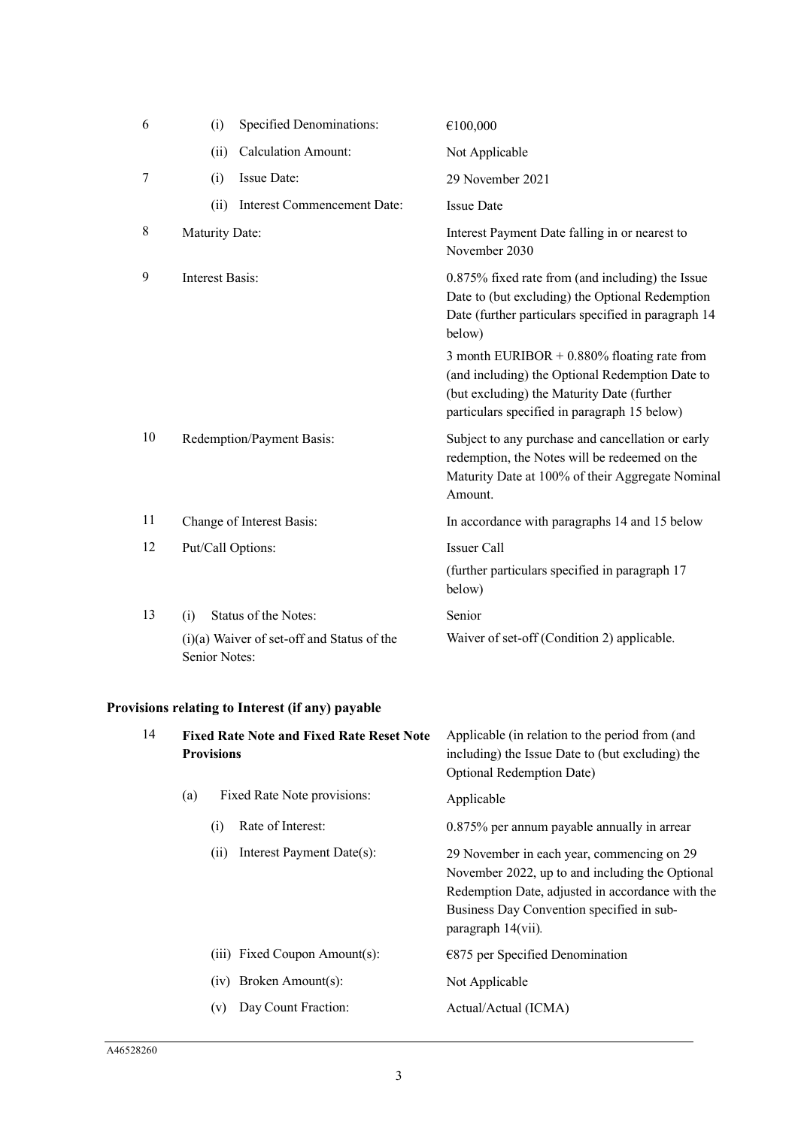| 6              | (i)             | <b>Specified Denominations:</b>            | €100,000                                                                                                                                                                                        |
|----------------|-----------------|--------------------------------------------|-------------------------------------------------------------------------------------------------------------------------------------------------------------------------------------------------|
|                | (ii)            | <b>Calculation Amount:</b>                 | Not Applicable                                                                                                                                                                                  |
| $\overline{7}$ | (i)             | Issue Date:                                | 29 November 2021                                                                                                                                                                                |
|                | (ii)            | Interest Commencement Date:                | <b>Issue Date</b>                                                                                                                                                                               |
| 8              | Maturity Date:  |                                            | Interest Payment Date falling in or nearest to<br>November 2030                                                                                                                                 |
| 9              | Interest Basis: |                                            | 0.875% fixed rate from (and including) the Issue<br>Date to (but excluding) the Optional Redemption<br>Date (further particulars specified in paragraph 14<br>below)                            |
|                |                 |                                            | 3 month EURIBOR + $0.880\%$ floating rate from<br>(and including) the Optional Redemption Date to<br>(but excluding) the Maturity Date (further<br>particulars specified in paragraph 15 below) |
| 10             |                 | Redemption/Payment Basis:                  | Subject to any purchase and cancellation or early<br>redemption, the Notes will be redeemed on the<br>Maturity Date at 100% of their Aggregate Nominal<br>Amount.                               |
| 11             |                 | Change of Interest Basis:                  | In accordance with paragraphs 14 and 15 below                                                                                                                                                   |
| 12             |                 | Put/Call Options:                          | <b>Issuer Call</b>                                                                                                                                                                              |
|                |                 |                                            | (further particulars specified in paragraph 17<br>below)                                                                                                                                        |
| 13             | (i)             | Status of the Notes:                       | Senior                                                                                                                                                                                          |
|                | Senior Notes:   | (i)(a) Waiver of set-off and Status of the | Waiver of set-off (Condition 2) applicable.                                                                                                                                                     |

# **Provisions relating to Interest (if any) payable**

| 14 | <b>Fixed Rate Note and Fixed Rate Reset Note</b><br><b>Provisions</b> |     |                               | Applicable (in relation to the period from (and<br>including) the Issue Date to (but excluding) the<br><b>Optional Redemption Date)</b>                                                                                 |  |
|----|-----------------------------------------------------------------------|-----|-------------------------------|-------------------------------------------------------------------------------------------------------------------------------------------------------------------------------------------------------------------------|--|
|    | Fixed Rate Note provisions:<br>(a)                                    |     |                               | Applicable                                                                                                                                                                                                              |  |
|    |                                                                       | (i) | Rate of Interest:             | 0.875% per annum payable annually in arrear                                                                                                                                                                             |  |
|    |                                                                       | (i) | Interest Payment Date(s):     | 29 November in each year, commencing on 29<br>November 2022, up to and including the Optional<br>Redemption Date, adjusted in accordance with the<br>Business Day Convention specified in sub-<br>paragraph $14(vii)$ . |  |
|    |                                                                       |     | (iii) Fixed Coupon Amount(s): | $E$ 875 per Specified Denomination                                                                                                                                                                                      |  |
|    |                                                                       |     | $(iv)$ Broken Amount $(s)$ :  | Not Applicable                                                                                                                                                                                                          |  |
|    |                                                                       | (v) | Day Count Fraction:           | Actual/Actual (ICMA)                                                                                                                                                                                                    |  |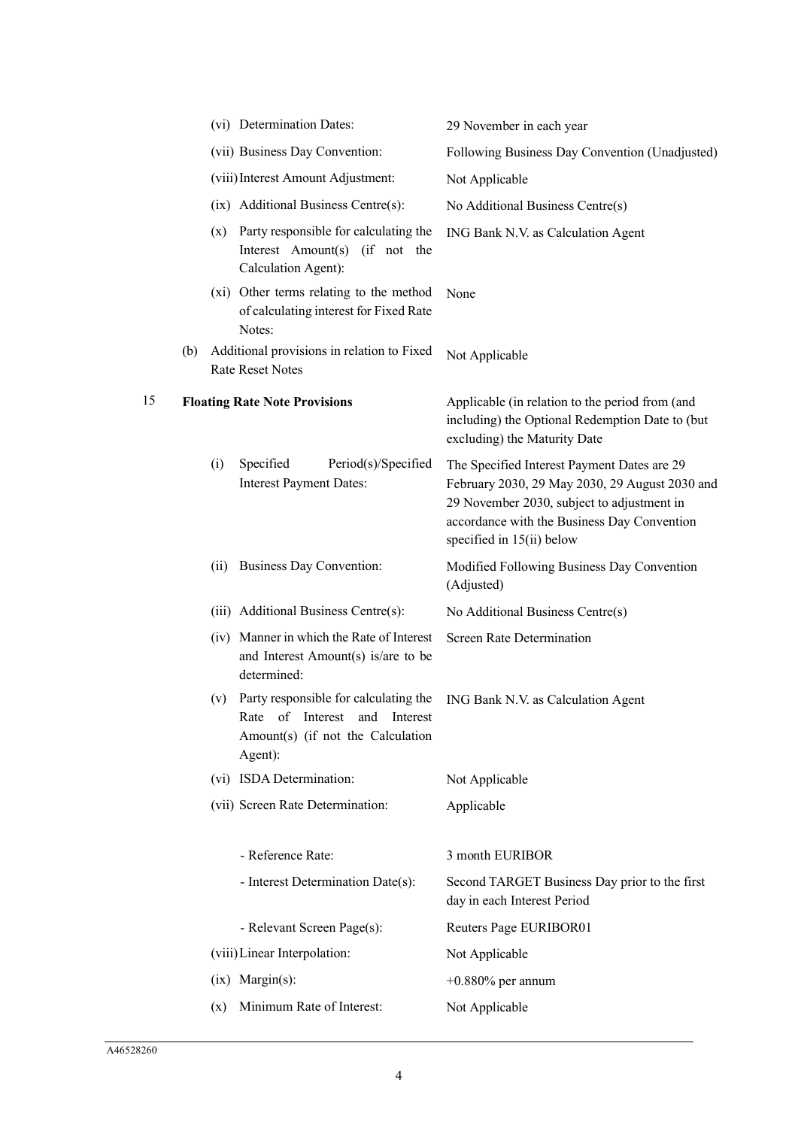|     |      |                                                                                                                        | 29 November in each year                                                                                                                                                                                                                                                                                                                                                                                                                                                                                                                                                             |
|-----|------|------------------------------------------------------------------------------------------------------------------------|--------------------------------------------------------------------------------------------------------------------------------------------------------------------------------------------------------------------------------------------------------------------------------------------------------------------------------------------------------------------------------------------------------------------------------------------------------------------------------------------------------------------------------------------------------------------------------------|
|     |      |                                                                                                                        | Following Business Day Convention (Unadjusted)                                                                                                                                                                                                                                                                                                                                                                                                                                                                                                                                       |
|     |      |                                                                                                                        | Not Applicable                                                                                                                                                                                                                                                                                                                                                                                                                                                                                                                                                                       |
|     |      |                                                                                                                        | No Additional Business Centre(s)                                                                                                                                                                                                                                                                                                                                                                                                                                                                                                                                                     |
|     |      | Interest Amount(s) (if not the<br>Calculation Agent):                                                                  | ING Bank N.V. as Calculation Agent                                                                                                                                                                                                                                                                                                                                                                                                                                                                                                                                                   |
|     |      | of calculating interest for Fixed Rate<br>Notes:                                                                       | None                                                                                                                                                                                                                                                                                                                                                                                                                                                                                                                                                                                 |
| (b) |      |                                                                                                                        | Not Applicable                                                                                                                                                                                                                                                                                                                                                                                                                                                                                                                                                                       |
|     |      |                                                                                                                        | Applicable (in relation to the period from (and<br>including) the Optional Redemption Date to (but<br>excluding) the Maturity Date                                                                                                                                                                                                                                                                                                                                                                                                                                                   |
|     | (i)  | Specified<br>Period(s)/Specified<br><b>Interest Payment Dates:</b>                                                     | The Specified Interest Payment Dates are 29<br>February 2030, 29 May 2030, 29 August 2030 and<br>29 November 2030, subject to adjustment in<br>accordance with the Business Day Convention<br>specified in 15(ii) below                                                                                                                                                                                                                                                                                                                                                              |
|     | (ii) |                                                                                                                        | Modified Following Business Day Convention<br>(Adjusted)                                                                                                                                                                                                                                                                                                                                                                                                                                                                                                                             |
|     |      |                                                                                                                        | No Additional Business Centre(s)                                                                                                                                                                                                                                                                                                                                                                                                                                                                                                                                                     |
|     |      | and Interest Amount(s) is/are to be<br>determined:                                                                     | Screen Rate Determination                                                                                                                                                                                                                                                                                                                                                                                                                                                                                                                                                            |
|     | (v)  | Party responsible for calculating the<br>Rate of Interest and Interest<br>Amount(s) (if not the Calculation<br>Agent): | ING Bank N.V. as Calculation Agent                                                                                                                                                                                                                                                                                                                                                                                                                                                                                                                                                   |
|     |      |                                                                                                                        | Not Applicable                                                                                                                                                                                                                                                                                                                                                                                                                                                                                                                                                                       |
|     |      |                                                                                                                        | Applicable                                                                                                                                                                                                                                                                                                                                                                                                                                                                                                                                                                           |
|     |      | - Reference Rate:                                                                                                      | 3 month EURIBOR                                                                                                                                                                                                                                                                                                                                                                                                                                                                                                                                                                      |
|     |      | - Interest Determination Date(s):                                                                                      | Second TARGET Business Day prior to the first<br>day in each Interest Period                                                                                                                                                                                                                                                                                                                                                                                                                                                                                                         |
|     |      | - Relevant Screen Page(s):                                                                                             | Reuters Page EURIBOR01                                                                                                                                                                                                                                                                                                                                                                                                                                                                                                                                                               |
|     |      |                                                                                                                        | Not Applicable                                                                                                                                                                                                                                                                                                                                                                                                                                                                                                                                                                       |
|     |      |                                                                                                                        | $+0.880\%$ per annum                                                                                                                                                                                                                                                                                                                                                                                                                                                                                                                                                                 |
|     | (x)  | Minimum Rate of Interest:                                                                                              | Not Applicable                                                                                                                                                                                                                                                                                                                                                                                                                                                                                                                                                                       |
|     |      |                                                                                                                        | (vi) Determination Dates:<br>(vii) Business Day Convention:<br>(viii) Interest Amount Adjustment:<br>(ix) Additional Business Centre(s):<br>(x) Party responsible for calculating the<br>(xi) Other terms relating to the method<br>Additional provisions in relation to Fixed<br>Rate Reset Notes<br><b>Floating Rate Note Provisions</b><br>Business Day Convention:<br>(iii) Additional Business Centre(s):<br>(iv) Manner in which the Rate of Interest<br>(vi) ISDA Determination:<br>(vii) Screen Rate Determination:<br>(viii) Linear Interpolation:<br>$(ix)$ Margin $(s)$ : |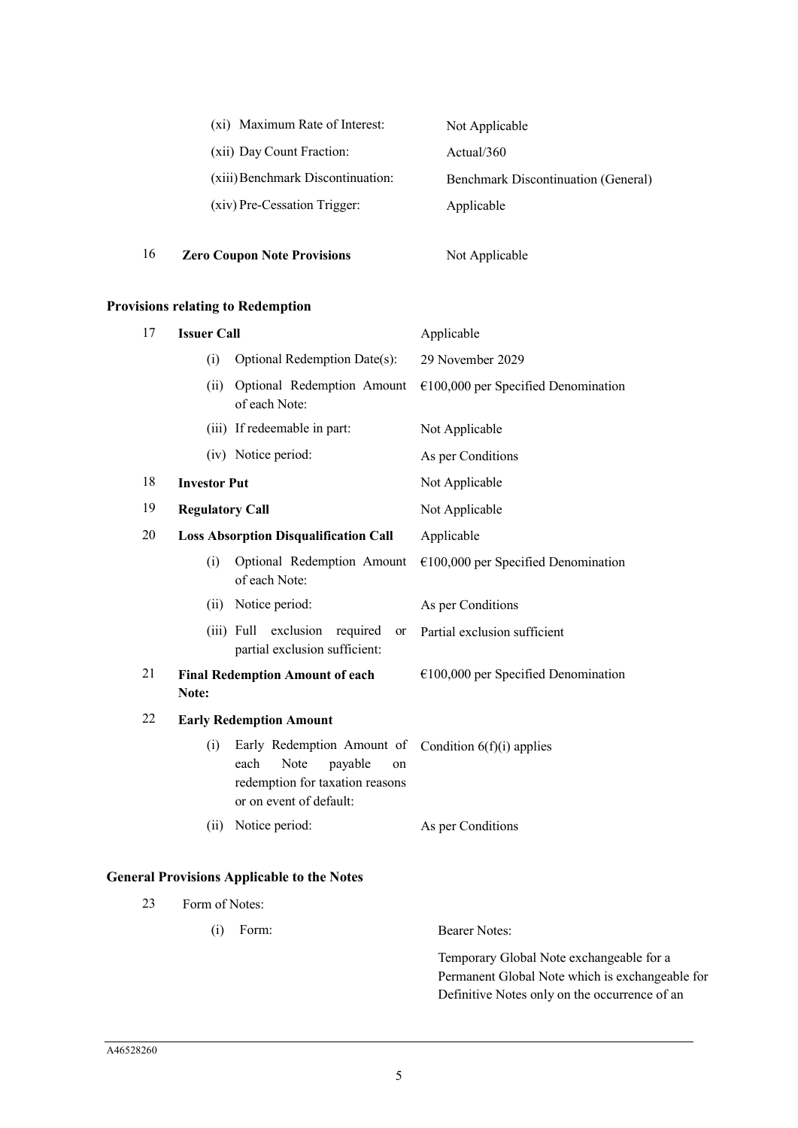| (xi) Maximum Rate of Interest:    | Not Applicable                             |
|-----------------------------------|--------------------------------------------|
| (xii) Day Count Fraction:         | Actual/360                                 |
| (xiii) Benchmark Discontinuation: | <b>Benchmark Discontinuation (General)</b> |
| (xiv) Pre-Cessation Trigger:      | Applicable                                 |
|                                   |                                            |

16 **Zero Coupon Note Provisions** Not Applicable

# **Provisions relating to Redemption**

| 17                                                  | <b>Issuer Call</b>     |                                                                                                                           | Applicable                            |  |
|-----------------------------------------------------|------------------------|---------------------------------------------------------------------------------------------------------------------------|---------------------------------------|--|
|                                                     | (i)                    | Optional Redemption Date(s):                                                                                              | 29 November 2029                      |  |
| Optional Redemption Amount<br>(ii)<br>of each Note: |                        |                                                                                                                           | $€100,000$ per Specified Denomination |  |
|                                                     |                        | (iii) If redeemable in part:                                                                                              | Not Applicable                        |  |
|                                                     |                        | (iv) Notice period:                                                                                                       | As per Conditions                     |  |
| 18                                                  | <b>Investor Put</b>    |                                                                                                                           | Not Applicable                        |  |
| 19                                                  | <b>Regulatory Call</b> |                                                                                                                           | Not Applicable                        |  |
| 20                                                  |                        | <b>Loss Absorption Disqualification Call</b>                                                                              | Applicable                            |  |
|                                                     | (i)                    | Optional Redemption Amount<br>of each Note:                                                                               | $€100,000$ per Specified Denomination |  |
|                                                     | (ii)                   | Notice period:                                                                                                            | As per Conditions                     |  |
|                                                     |                        | exclusion<br>(iii) Full<br>required<br>or<br>partial exclusion sufficient:                                                | Partial exclusion sufficient          |  |
| 21                                                  | Note:                  | <b>Final Redemption Amount of each</b>                                                                                    | $€100,000$ per Specified Denomination |  |
| 22                                                  |                        | <b>Early Redemption Amount</b>                                                                                            |                                       |  |
|                                                     | (i)                    | Early Redemption Amount of<br>Note<br>each<br>payable<br>on<br>redemption for taxation reasons<br>or on event of default: | Condition $6(f)(i)$ applies           |  |
|                                                     | (ii)                   | Notice period:                                                                                                            | As per Conditions                     |  |

# **General Provisions Applicable to the Notes**

| 23 | Form of Notes: |                                                 |  |  |
|----|----------------|-------------------------------------------------|--|--|
|    | Form:<br>(1)   | Bearer Notes:                                   |  |  |
|    |                | Temporary Global Note exchangeable for a        |  |  |
|    |                | Permanent Global Note which is exchangeable for |  |  |
|    |                | Definitive Notes only on the occurrence of an   |  |  |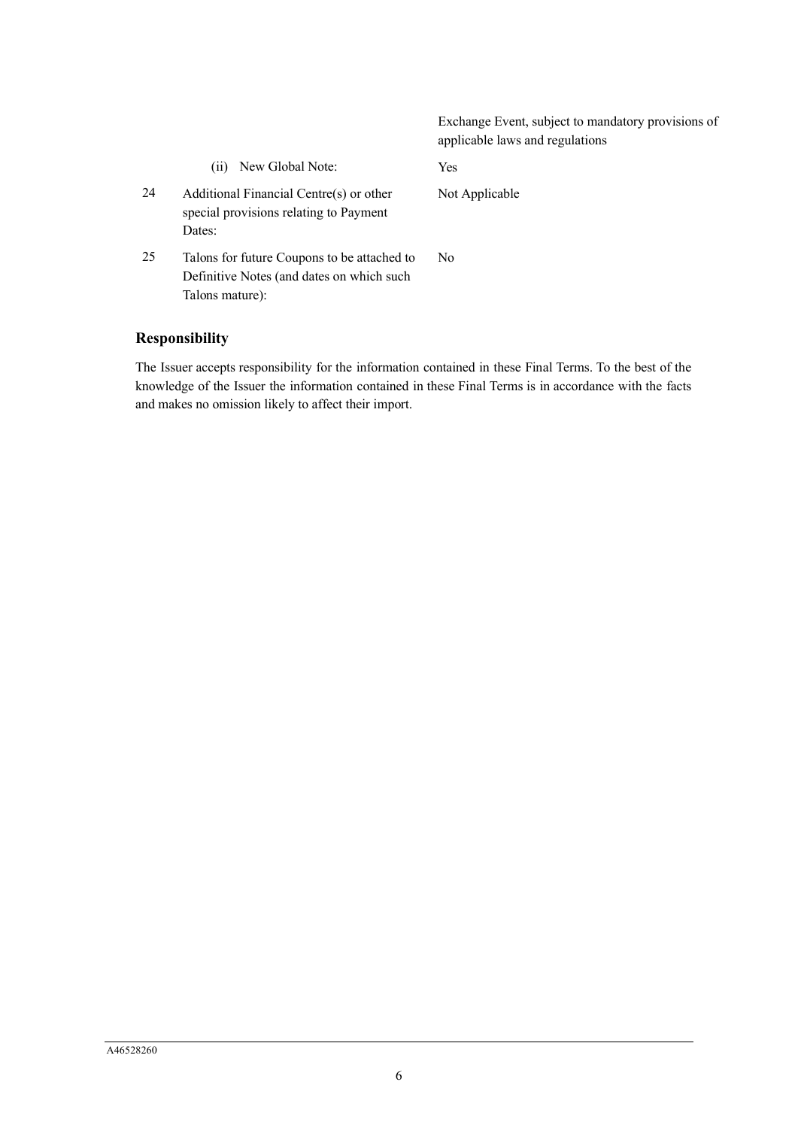|    |                                                                                                             | Exchange Event, subject to mandatory provisions of<br>applicable laws and regulations |
|----|-------------------------------------------------------------------------------------------------------------|---------------------------------------------------------------------------------------|
|    | New Global Note:<br>(11)                                                                                    | <b>Yes</b>                                                                            |
| 24 | Additional Financial Centre(s) or other<br>special provisions relating to Payment<br>Dates:                 | Not Applicable                                                                        |
| 25 | Talons for future Coupons to be attached to<br>Definitive Notes (and dates on which such<br>Talons mature): | No.                                                                                   |

# **Responsibility**

The Issuer accepts responsibility for the information contained in these Final Terms. To the best of the knowledge of the Issuer the information contained in these Final Terms is in accordance with the facts and makes no omission likely to affect their import.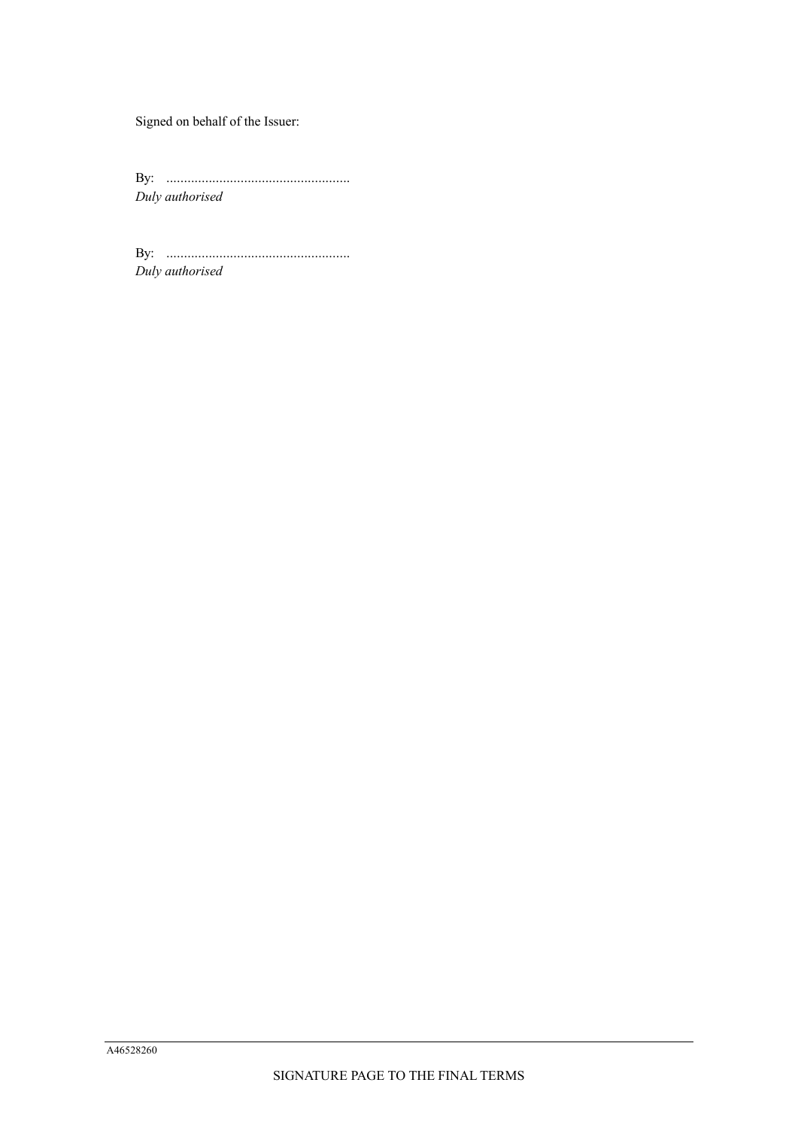Signed on behalf of the Issuer:

By: .................................................... *Duly authorised*

By: .................................................... *Duly authorised*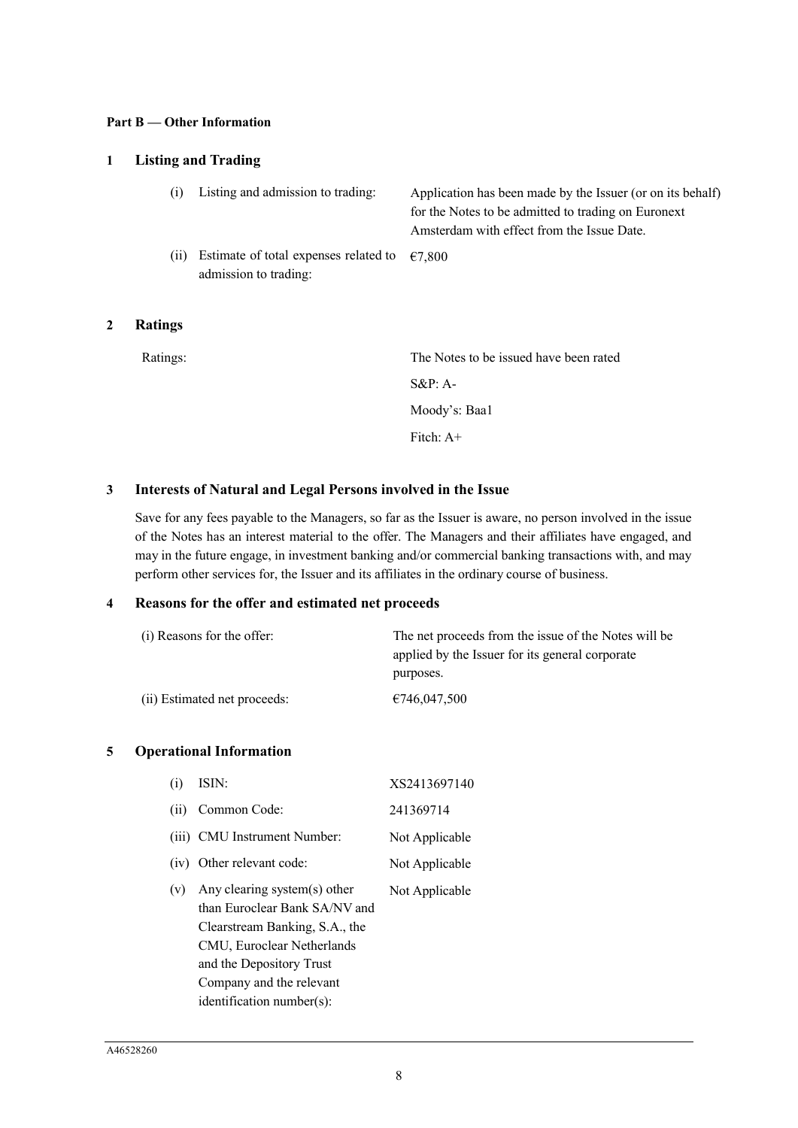### **Part B — Other Information**

# **1 Listing and Trading**

| (i)  | Listing and admission to trading:                                               | Application has been made by the Issuer (or on its behalf)<br>for the Notes to be admitted to trading on Euronext<br>Amsterdam with effect from the Issue Date. |
|------|---------------------------------------------------------------------------------|-----------------------------------------------------------------------------------------------------------------------------------------------------------------|
| (ii) | Estimate of total expenses related to $\epsilon$ 7,800<br>admission to trading: |                                                                                                                                                                 |

## **2 Ratings**

| Ratings: | The Notes to be issued have been rated |
|----------|----------------------------------------|
|          | $S\&P: A-$                             |
|          | Moody's: Baa1                          |
|          | Fitch: $A+$                            |
|          |                                        |

# **3 Interests of Natural and Legal Persons involved in the Issue**

Save for any fees payable to the Managers, so far as the Issuer is aware, no person involved in the issue of the Notes has an interest material to the offer. The Managers and their affiliates have engaged, and may in the future engage, in investment banking and/or commercial banking transactions with, and may perform other services for, the Issuer and its affiliates in the ordinary course of business.

### **4 Reasons for the offer and estimated net proceeds**

| (i) Reasons for the offer:   | The net proceeds from the issue of the Notes will be |  |
|------------------------------|------------------------------------------------------|--|
|                              | applied by the Issuer for its general corporate      |  |
|                              | purposes.                                            |  |
| (ii) Estimated net proceeds: | €746,047,500                                         |  |

### **5 Operational Information**

| (i)  | ISIN:                                                                                                                                                                                                                 | XS2413697140   |
|------|-----------------------------------------------------------------------------------------------------------------------------------------------------------------------------------------------------------------------|----------------|
| (ii) | Common Code:                                                                                                                                                                                                          | 241369714      |
|      | (iii) CMU Instrument Number:                                                                                                                                                                                          | Not Applicable |
|      | (iv) Other relevant code:                                                                                                                                                                                             | Not Applicable |
| (v)  | Any clearing system(s) other<br>than Euroclear Bank SA/NV and<br>Clearstream Banking, S.A., the<br>CMU, Euroclear Netherlands<br>and the Depository Trust<br>Company and the relevant<br>$identification number(s)$ : | Not Applicable |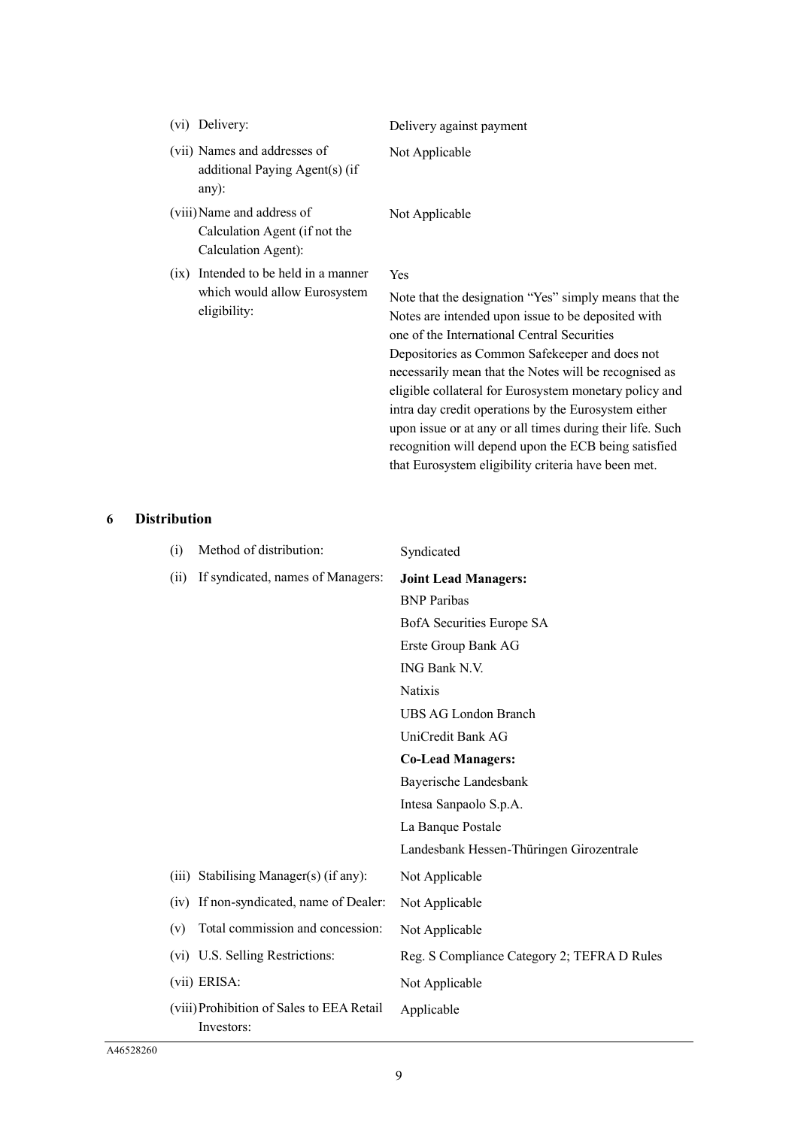| Delivery:<br>(V1)                                                                    | Delivery against payment                                                                                                                                                                                                                                                                                                               |
|--------------------------------------------------------------------------------------|----------------------------------------------------------------------------------------------------------------------------------------------------------------------------------------------------------------------------------------------------------------------------------------------------------------------------------------|
| (vii) Names and addresses of<br>additional Paying Agent(s) (if<br>$any)$ :           | Not Applicable                                                                                                                                                                                                                                                                                                                         |
| (viii) Name and address of<br>Calculation Agent (if not the<br>Calculation Agent):   | Not Applicable                                                                                                                                                                                                                                                                                                                         |
| (ix) Intended to be held in a manner<br>which would allow Eurosystem<br>eligibility: | Yes<br>Note that the designation "Yes" simply means that the<br>Notes are intended upon issue to be deposited with<br>one of the International Central Securities<br>Depositories as Common Safekeeper and does not<br>necessarily mean that the Notes will be recognised as<br>eligible collateral for Eurosystem monetary policy and |

intra day credit operations by the Eurosystem either upon issue or at any or all times during their life. Such recognition will depend upon the ECB being satisfied that Eurosystem eligibility criteria have been met.

**6 Distribution**

| (i)          | Method of distribution:                                 | Syndicated                                  |
|--------------|---------------------------------------------------------|---------------------------------------------|
| (ii)         | If syndicated, names of Managers:                       | <b>Joint Lead Managers:</b>                 |
|              |                                                         | <b>BNP</b> Paribas                          |
|              |                                                         | BofA Securities Europe SA                   |
|              |                                                         | Erste Group Bank AG                         |
|              |                                                         | ING Bank N.V.                               |
|              |                                                         | <b>Natixis</b>                              |
|              |                                                         | UBS AG London Branch                        |
|              |                                                         | UniCredit Bank AG                           |
|              |                                                         | <b>Co-Lead Managers:</b>                    |
|              |                                                         | Bayerische Landesbank                       |
|              |                                                         | Intesa Sanpaolo S.p.A.                      |
|              |                                                         | La Banque Postale                           |
|              |                                                         | Landesbank Hessen-Thüringen Girozentrale    |
|              | (iii) Stabilising Manager(s) (if any):                  | Not Applicable                              |
| (iv)         | If non-syndicated, name of Dealer:                      | Not Applicable                              |
| (v)          | Total commission and concession:                        | Not Applicable                              |
|              | (vi) U.S. Selling Restrictions:                         | Reg. S Compliance Category 2; TEFRA D Rules |
| (vii) ERISA: |                                                         | Not Applicable                              |
|              | (viii) Prohibition of Sales to EEA Retail<br>Investors: | Applicable                                  |